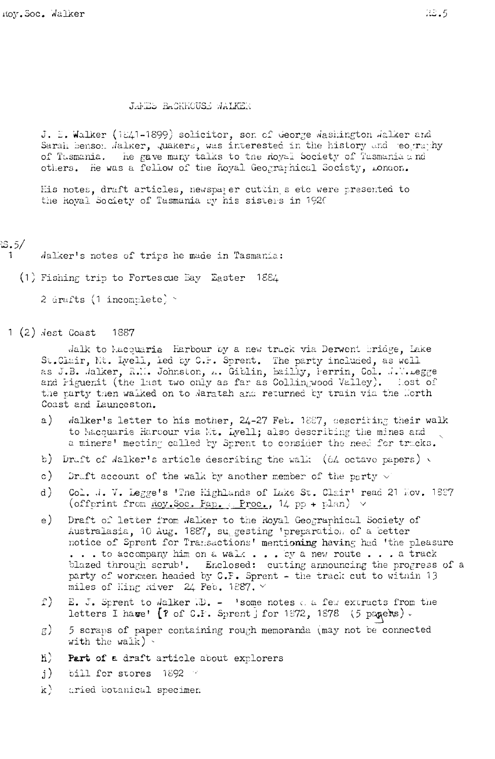## JAMES BACKHOUSE WALKER

J. E. Walker (1841-1899) solicitor, son of George Washington Walker and Sarah benson Jalker, quakers, was interested in the history and eography of Tasmania. The gave many talks to the Royal Society of Tasmania and others. He was a fellow of the Royal Geographical Society, London.

His notes, draft articles, newspaper cuttin s etc were presented to the hoval Society of Tasmania by his sisters in 1920

## $3.5/$

Jalker's notes of trips he made in Tasmania:

(1) Fishing trip to Fortescue Bay Easter 1884

2 drafts (1 incomplete) \*

 $1(2)$   $dest$  Coast 1887

> Jalk to Macquarie Harbour by a new track via Derwent bridge, Lake St.Clair, Nt. Lyell, led by C.F. Sprent. The party included, as well as J.B. Jalker, R.M. Johnston, A. Giblin, bailly, Ferrin, Col. J.W. Legge and Figuenit (the last two only as far as Collingwood Vailey). Lost of the party then walked on to Waratah and returned by train via the Morth Coast and Launceston.

- Walker's letter to his mother, 24-27 Feb. 1887, descriting their walk  $a)$ to Macquarie Harcour via Mt. Lyell; also describing the mines and a miners' meeting called by Sprent to consider the need for tracks.
- b) Draft of Walker's article describing the walk (64 octave papers) v
- $\circ$ ) Druft account of the walk by another member of the party  $\vee$
- $d$ ) Col. J. V. Legge's 'The Highlands of Lake St. Clair' read 21 Hov. 1827 (offprint from Roy. Soc. Pap. (Proc.,  $14$  pp + plan)  $\vee$
- $_{\rm e}$ ) Draft of letter from Walker to the Royal Geographical Society of Australasia, 10 Aug. 1887, suggesting 'preparation of a better notice of Sprent for Transactions' mentioning having had 'the pleasure ... to accompany him on a walk ... by a new route ... a track blazed through scrub'. Enclosed: cutting announcing the progress of a party of workmen headed by C.F. Sprent - the track cut to within 13 miles of Hing River 24 Feb. 1887.  $\vee$
- $\hat{1}$ ) E. J. Sprent to Walker ID. - 'some notes a few extracts from the letters I have' [? of C.F. Sprent j for 1872, 1878 (5 pagers).
- 5 scraps of paper containing rough memoranda (may not be connected  $\mathbf{g}$ ) with the walk)  $\cdot$
- $\hbox{h}$ ) Part of a draft article about explorers
- bill for stores 1892  $\rm j$ )
- $K$ ) aried botanical specimen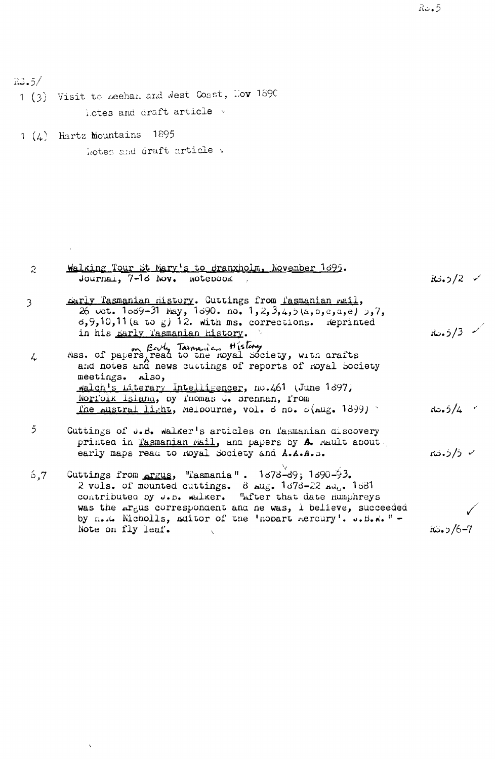$R3.5/$ 

 $\overline{2}$ 

- 1 (3) Visit to zeehan and West Coast, Nov 1890 lotes and draft article v
- 1  $(4)$  Hartz mountains 1895 kotes and draft article v

Note on fly leaf.

```
Walking Tour St Mary's to Branxholm, November 1695.
            Journal, 7-18 Nov. Notepook,
                                                                                                    ، 2/د.2%
         parly Tasmanian nistory. Cuttings from Tasmanian rail,
3
            26 uct. 1039-31 May, 1390. no. 1, 2, 3, 4, 5 (a, b, c, a, e) 5, 7, 6, 9, 10, 11 (a to g) 12. with ms. corrections. Reprinted
            in his parly lasmanian history.
                                                                                                   R_{\omega}. 5/3.
         Mss. of papers, read to the moyal Society, with arafts<br>and notes and news cuttings of reports of moyal Society
\downarrowmeetings. also,
            walch's Literary Intelligencer, no.461 (June 1897)
            Noriolk Island, by fnomas J. srennan, from
            The Austral light, Melbourne, vol. d no. 5 (Aug. 1899)
                                                                                                   R = 5/4\overline{5}Cuttings of J.B. walker's articles on fasmanian discovery
            printed in Tasmanian Mail, and papers by A. Mault about.
            early maps read to noyal Society and A.A.A.D.
                                                                                                   √ ۇ/ۋ.ئە
         Cuttings from <u>Argus</u>, "Tasmania". 1\sigma/8-39; 1\sigma/90-93.<br>2 vols. of mounted cuttings. 8 Aug. 1\sigma/3-22 Au<sub>5</sub>. 1681<br>contributed by J.B. walker. "After that date Humphreys
6,7was the Argus correspondent and ne was, i believe, succeeded
            by n.x. Nicholls, Editor of the 'nopart mercury'. ... B.w." -
```
 $RS.5/6-7$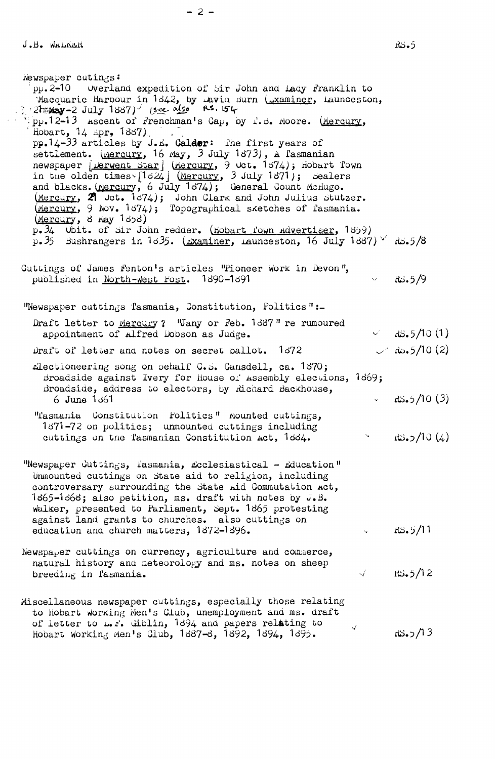Newspaper cutings:  $pp.2 - 10$ Overland expedition of Sir John and Lady Franklin to Macquarie Harbour in 1842, by Lavia Burn (Examiner, Launceston, 2h May-2 July 1887) (see also RS. 154 Hobart, 14 Apr. 1887) pp.14-33 articles by J.E. Calder: The first years of settlement. (Mercury, 16 May, 3 July 1873), A l'asmanian newspaper [*Lerwent Star*] (Mercury, 9 Oct. 1574); Hobart Town<br>in the olden timesv[1524] (Mercury, 3 July 1871); Sealers<br>and blacks. (Mercury, 6 July 1874); General Count McHugo.<br>(Mercury, 21 Oct. 1874); John Clark and Joh (Mercury, 8 May 1898) p.34 Obit. of sir John redder. (Hobart Town Advertiser, 1859) p.35 Bushrangers in  $1\sigma35$ . ( $\Delta x$ aminer, Launceston, 16 July 1887)  $\vee$  RS.5/8 Cuttings of James Fenton's articles "Pioneer Work in Devon",  $R_{2.5}/9$ published in North-West Post. 1890-1891 "Newspaper cuttings Tasmania, Constitution, Politics":-Draft letter to Mercury? "Jany or Feb. 1887" re rumoured  $\sim$   $\frac{10(1)}{10(1)}$ appointment of Alfred Dobson as Judge.  $\sim$  Ro. 5/10 (2) Draft of letter and notes on secret pallot. 1672 filectioneering song on pehalf G.S. Gansdell, ca. 1870; Broadside against Ivery for House of Assembly elections, 1869; Broadside, address to electors, by Richard Backhouse,  $R5.5/10(3)$ 6 June 1661 "Tasmania Constitution Politics" mounted cuttings, 1871-72 on politics; unmounted cuttings including  $\mathbf{S}^{(n)}$  and  $\mathbf{S}^{(n)}$  $RS_{0}$  (4) cuttings on the Tasmanian Constitution Act, 1884. "Newspaper Cuttings, l'asmania, Ecclesiastical - Education" Unmounted cuttings on state aid to religion, including controversary surrounding the State Aid Commutation Act, 1865-1868; also petition, ms. draft with notes by J.B. walker, presented to Parliament, Sept. 1865 protesting against land grants to churches. also cuttings on  $RS.5/11$ education and church matters, 1872-1896.  $\mathbf{v}^{(i)}$  . Newspaper cuttings on currency, agriculture and commerce, natural history and meteorology and ms. notes on sheep  $\mathcal{A}$  and  $\mathcal{A}$  $RS-5/12$ breeding in fasmania. Miscellaneous newspaper cuttings, especially those relating to Hobart working Men's Club, unemployment and ms. draft of letter to  $\mu_r r$ . diblin, 1894 and papers relating to Hobart Working Men's Club, 1887-8, 1892, 1894, 1895.  $13.5/13$ 

 $-2-$